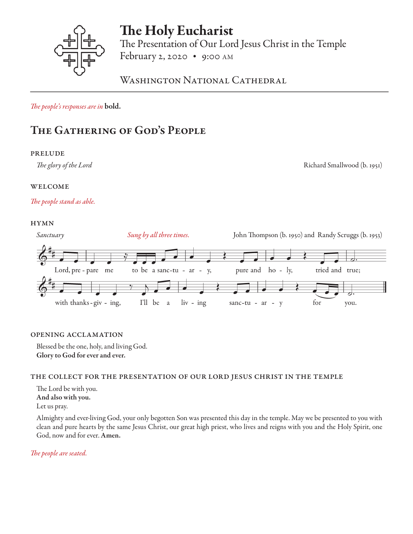

The Holy Eucharist The Presentation of Our Lord Jesus Christ in the Temple February 2, 2020 • 9:00 AM

WASHINGTON NATIONAL CATHEDRAL

*The people's responses are in* bold.

# THE GATHERING OF GOD'S PEOPLE

# prelude

*The glory of the Lord* **Richard Smallwood (b. 1951)** Richard Smallwood (b. 1951)

## welcome

*The people stand as able.* 

#### **HYMN**



#### opening acclamation

Blessed be the one, holy, and living God. Glory to God for ever and ever.

# the collect for the presentation of our lord jesus christ in the temple

The Lord be with you. And also with you. Let us pray.

Almighty and ever-living God, your only begotten Son was presented this day in the temple. May we be presented to you with clean and pure hearts by the same Jesus Christ, our great high priest, who lives and reigns with you and the Holy Spirit, one God, now and for ever. Amen.

*The people are seated.*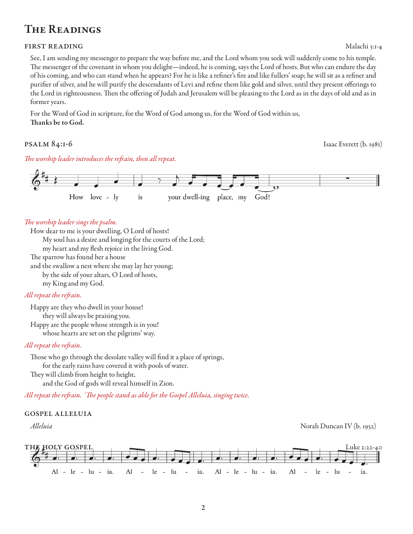# The Readings

# first reading Malachi 3:1-4

See, I am sending my messenger to prepare the way before me, and the Lord whom you seek will suddenly come to his temple. The messenger of the covenant in whom you delight—indeed, he is coming, says the Lord of hosts. But who can endure the day of his coming, and who can stand when he appears? For he is like a refiner's fire and like fullers' soap; he will sit as a refiner and purifier of silver, and he will purify the descendants of Levi and refine them like gold and silver, until they present offerings to the Lord in righteousness. Then the offering of Judah and Jerusalem will be pleasing to the Lord as in the days of old and as in former years.

For the Word of God in scripture, for the Word of God among us, for the Word of God within us, Thanks be to God.

**PSALM 84:1-6** Isaac Everett (b. 1981)

*The worship leader introduces the refrain, then all repeat.* 



# *The worship leader sings the psalm.*

How dear to me is your dwelling, O Lord of hosts!

My soul has a desire and longing for the courts of the Lord;

- my heart and my flesh rejoice in the living God.
- The sparrow has found her a house

and the swallow a nest where she may lay her young;

by the side of your altars, O Lord of hosts, my King and my God.

# *All repeat the refrain.*

Happy are they who dwell in your house! they will always be praising you. Happy are the people whose strength is in you! whose hearts are set on the pilgrims' way.

# *All repeat the refrain.*

Those who go through the desolate valley will find it a place of springs, for the early rains have covered it with pools of water. They will climb from height to height, and the God of gods will reveal himself in Zion.

*All repeat the refrain. `The people stand as able for the Gospel Alleluia, singing twice.*

# gospel alleluia

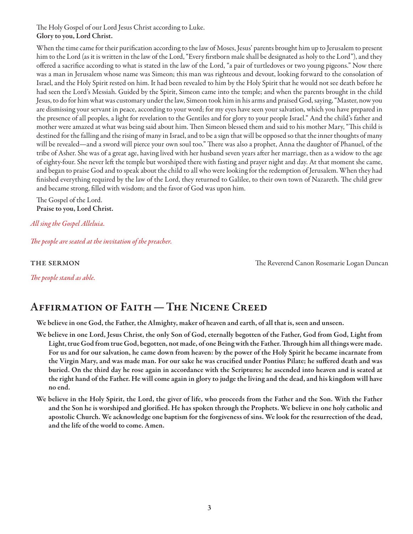The Holy Gospel of our Lord Jesus Christ according to Luke. Glory to you, Lord Christ.

When the time came for their purification according to the law of Moses, Jesus' parents brought him up to Jerusalem to present him to the Lord (as it is written in the law of the Lord, "Every firstborn male shall be designated as holy to the Lord"), and they offered a sacrifice according to what is stated in the law of the Lord, "a pair of turtledoves or two young pigeons." Now there was a man in Jerusalem whose name was Simeon; this man was righteous and devout, looking forward to the consolation of Israel, and the Holy Spirit rested on him. It had been revealed to him by the Holy Spirit that he would not see death before he had seen the Lord's Messiah. Guided by the Spirit, Simeon came into the temple; and when the parents brought in the child Jesus, to do for him what was customary under the law, Simeon took him in his arms and praised God, saying, "Master, now you are dismissing your servant in peace, according to your word; for my eyes have seen your salvation, which you have prepared in the presence of all peoples, a light for revelation to the Gentiles and for glory to your people Israel." And the child's father and mother were amazed at what was being said about him. Then Simeon blessed them and said to his mother Mary, "This child is destined for the falling and the rising of many in Israel, and to be a sign that will be opposed so that the inner thoughts of many will be revealed—and a sword will pierce your own soul too." There was also a prophet, Anna the daughter of Phanuel, of the tribe of Asher. She was of a great age, having lived with her husband seven years after her marriage, then as a widow to the age of eighty-four. She never left the temple but worshiped there with fasting and prayer night and day. At that moment she came, and began to praise God and to speak about the child to all who were looking for the redemption of Jerusalem. When they had finished everything required by the law of the Lord, they returned to Galilee, to their own town of Nazareth. The child grew and became strong, filled with wisdom; and the favor of God was upon him.

The Gospel of the Lord. Praise to you, Lord Christ.

*All sing the Gospel Alleluia.*

*The people are seated at the invitation of the preacher.*

the sermon The Reverend Canon Rosemarie Logan Duncan

*The people stand as able.*

# Affirmation of Faith—The Nicene Creed

We believe in one God, the Father, the Almighty, maker of heaven and earth, of all that is, seen and unseen.

- We believe in one Lord, Jesus Christ, the only Son of God, eternally begotten of the Father, God from God, Light from Light, true God from true God, begotten, not made, of one Being with the Father. Through him all things were made. For us and for our salvation, he came down from heaven: by the power of the Holy Spirit he became incarnate from the Virgin Mary, and was made man. For our sake he was crucified under Pontius Pilate; he suffered death and was buried. On the third day he rose again in accordance with the Scriptures; he ascended into heaven and is seated at the right hand of the Father. He will come again in glory to judge the living and the dead, and his kingdom will have no end.
- We believe in the Holy Spirit, the Lord, the giver of life, who proceeds from the Father and the Son. With the Father and the Son he is worshiped and glorified. He has spoken through the Prophets. We believe in one holy catholic and apostolic Church. We acknowledge one baptism for the forgiveness of sins. We look for the resurrection of the dead, and the life of the world to come. Amen.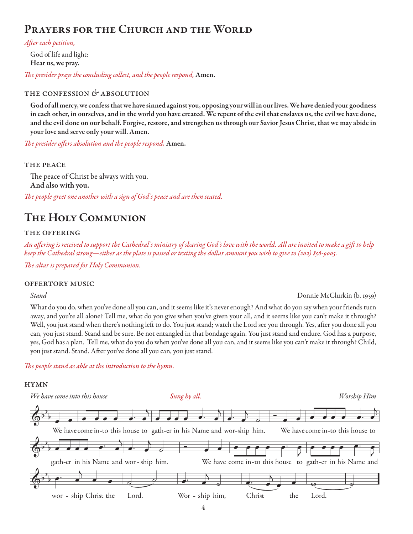# PRAYERS FOR THE CHURCH AND THE WORLD

## *After each petition,*

God of life and light: Hear us, we pray.

*The presider prays the concluding collect, and the people respond,* Amen.

# the confession *&* absolution

God of all mercy, we confess that we have sinned against you, opposing your will in our lives. We have denied your goodness in each other, in ourselves, and in the world you have created. We repent of the evil that enslaves us, the evil we have done, and the evil done on our behalf. Forgive, restore, and strengthen us through our Savior Jesus Christ, that we may abide in your love and serve only your will. Amen.

*The presider offers absolution and the people respond,* Amen.

## THE PEACE

The peace of Christ be always with you. And also with you.

*The people greet one another with a sign of God's peace and are then seated.*

# The Holy Communion

# the offering

*An offering is received to support the Cathedral's ministry of sharing God's love with the world. All are invited to make a gift to help keep the Cathedral strong—either as the plate is passed or texting the dollar amount you wish to give to (202) 856-9005.*

*The altar is prepared for Holy Communion.* 

#### offertory music

#### *Stand* Donnie McClurkin (b. 1959)

What do you do, when you've done all you can, and it seems like it's never enough? And what do you say when your friends turn away, and you're all alone? Tell me, what do you give when you've given your all, and it seems like you can't make it through? Well, you just stand when there's nothing left to do. You just stand; watch the Lord see you through. Yes, after you done all you can, you just stand. Stand and be sure. Be not entangled in that bondage again. You just stand and endure. God has a purpose, yes, God has a plan. Tell me, what do you do when you've done all you can, and it seems like you can't make it through? Child, you just stand. Stand. After you've done all you can, you just stand.

# *The people stand as able at the introduction to the hymn.*

# hymn

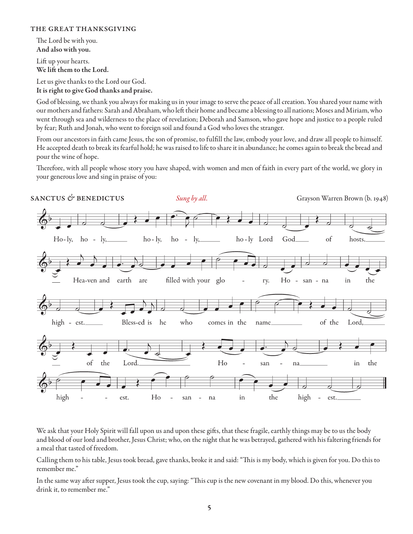## the great thanksgiving

The Lord be with you. And also with you.

Lift up your hearts. We lift them to the Lord.

Let us give thanks to the Lord our God. It is right to give God thanks and praise.

God of blessing, we thank you always for making us in your image to serve the peace of all creation. You shared your name with our mothers and fathers: Sarah and Abraham, who left their home and became a blessing to all nations; Moses and Miriam, who went through sea and wilderness to the place of revelation; Deborah and Samson, who gave hope and justice to a people ruled by fear; Ruth and Jonah, who went to foreign soil and found a God who loves the stranger.

From our ancestors in faith came Jesus, the son of promise, to fulfill the law, embody your love, and draw all people to himself. He accepted death to break its fearful hold; he was raised to life to share it in abundance; he comes again to break the bread and pour the wine of hope.

Therefore, with all people whose story you have shaped, with women and men of faith in every part of the world, we glory in your generous love and sing in praise of you:



We ask that your Holy Spirit will fall upon us and upon these gifts, that these fragile, earthly things may be to us the body and blood of our lord and brother, Jesus Christ; who, on the night that he was betrayed, gathered with his faltering friends for a meal that tasted of freedom.

Calling them to his table, Jesus took bread, gave thanks, broke it and said: "This is my body, which is given for you. Do this to remember me."

In the same way after supper, Jesus took the cup, saying: "This cup is the new covenant in my blood. Do this, whenever you drink it, to remember me."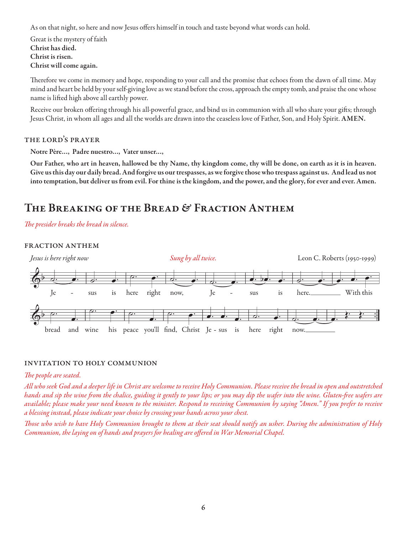As on that night, so here and now Jesus offers himself in touch and taste beyond what words can hold.

Great is the mystery of faith Christ has died. Christ is risen. Christ will come again.

Therefore we come in memory and hope, responding to your call and the promise that echoes from the dawn of all time. May mind and heart be held by your self-giving love as we stand before the cross, approach the empty tomb, and praise the one whose name is lifted high above all earthly power.

Receive our broken offering through his all-powerful grace, and bind us in communion with all who share your gifts; through Jesus Christ, in whom all ages and all the worlds are drawn into the ceaseless love of Father, Son, and Holy Spirit. AMEN.

the lord's prayer

Notre Père…, Padre nuestro…, Vater unser…,

Our Father, who art in heaven, hallowed be thy Name, thy kingdom come, thy will be done, on earth as it is in heaven. Give us this day our daily bread. And forgive us our trespasses, as we forgive those who trespass against us. And lead us not into temptation, but deliver us from evil. For thine is the kingdom, and the power, and the glory, for ever and ever. Amen.

# The Breaking of the Bread & Fraction Anthem

*The presider breaks the bread in silence.* 

#### fraction anthem



# invitation to holy communion

#### *The people are seated.*

*All who seek God and a deeper life in Christ are welcome to receive Holy Communion. Please receive the bread in open and outstretched hands and sip the wine from the chalice, guiding it gently to your lips; or you may dip the wafer into the wine. Gluten-free wafers are available; please make your need known to the minister. Respond to receiving Communion by saying "Amen." If you prefer to receive a blessing instead, please indicate your choice by crossing your hands across your chest.* 

*Those who wish to have Holy Communion brought to them at their seat should notify an usher. During the administration of Holy Communion, the laying on of hands and prayers for healing are offered in War Memorial Chapel.*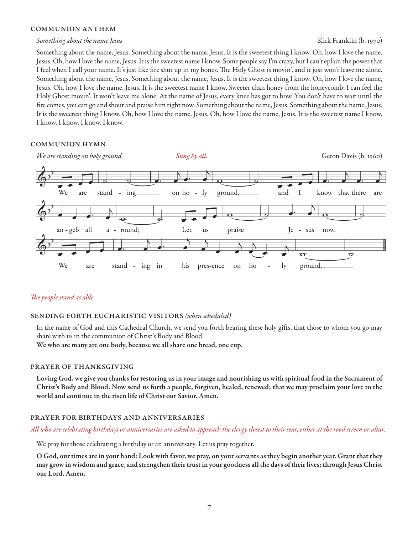#### communion anthem

#### *Something about the name Jesus* **Kirk Franklin (b. 1970) Kirk Franklin (b. 1970)**

Something about the name, Jesus. Something about the name, Jesus. It is the sweetest thing I know. Oh, how I love the name, Jesus. Oh, how I love the name, Jesus. It is the sweetest name I know. Some people say I'm crazy, but I can't eplain the power that I feel when I call your name. It's just like fire shut up in my bones. The Holy Ghost is movin', and it just won't leave me alone. Something about the name, Jesus. Something about the name, Jesus. It is the sweetest thing I know. Oh, how I love the name, Jesus. Oh, how I love the name, Jesus. It is the sweetest name I know. Sweeter than honey from the honeycomb; I can feel the Holy Ghost movin'. It won't leave me alone. At the name of Jesus, every knee has got to bow. You don't have to wait until the fire comes, you can go and shout and praise him right now. Something about the name, Jesus. Something about the name, Jesus. It is the sweetest thing I know. Oh, how I love the name, Jesus. Oh, how I love the name, Jesus. It is the sweetest name I know. I know. I know. I know. I know.

#### communion hymn



# *The people stand as able.*

#### sending forth eucharistic visitors *(when scheduled)*

In the name of God and this Cathedral Church, we send you forth bearing these holy gifts, that those to whom you go may share with us in the communion of Christ's Body and Blood.

We who are many are one body, because we all share one bread, one cup.

#### prayer of thanksgiving

Loving God, we give you thanks for restoring us in your image and nourishing us with spiritual food in the Sacrament of Christ's Body and Blood. Now send us forth a people, forgiven, healed, renewed; that we may proclaim your love to the world and continue in the risen life of Christ our Savior. Amen.

#### prayer for birthdays and anniversaries

*All who are celebrating birthdays or anniversaries are asked to approach the clergy closest to their seat, either at the rood screen or altar.*

We pray for those celebrating a birthday or an anniversary. Let us pray together.

O God, our times are in your hand: Look with favor, we pray, on your servants as they begin another year. Grant that they may grow in wisdom and grace, and strengthen their trust in your goodness all the days of their lives; through Jesus Christ our Lord. Amen.